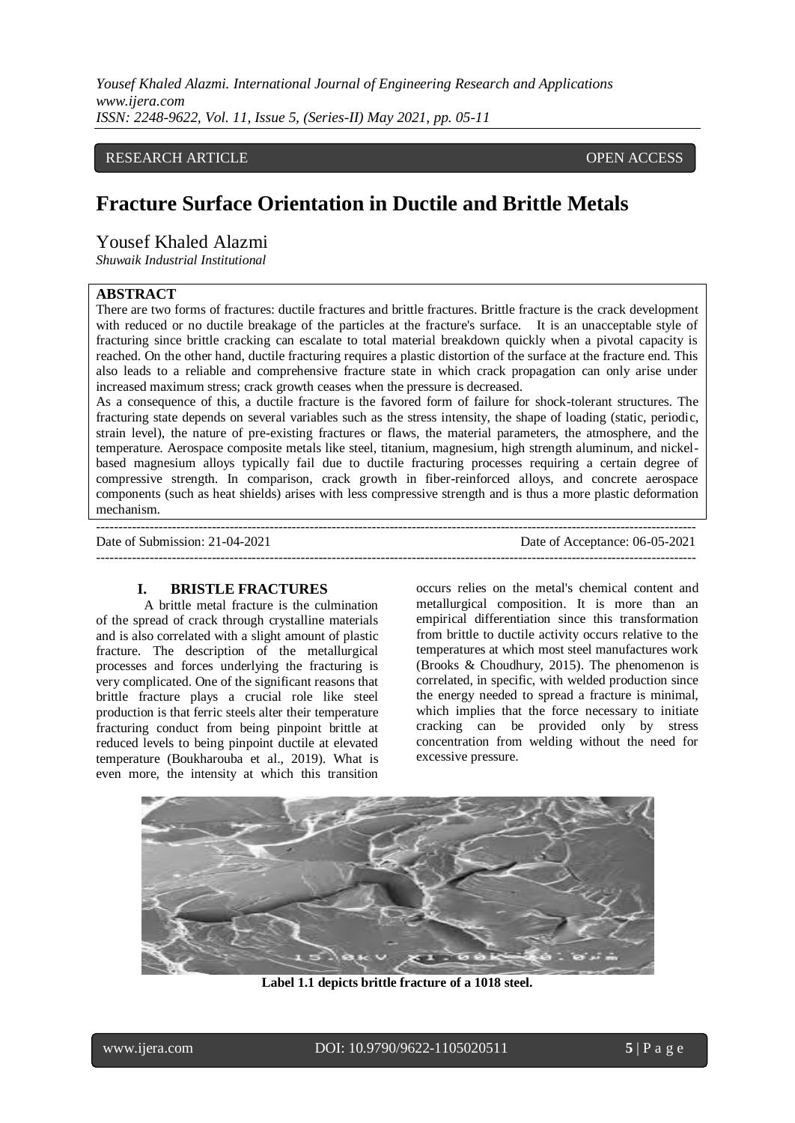## RESEARCH ARTICLE **CONTRACT ARTICLE** AND A SERVICE OPEN ACCESS OPEN ACCESS

# **Fracture Surface Orientation in Ductile and Brittle Metals**

## Yousef Khaled Alazmi

*Shuwaik Industrial Institutional* 

## **ABSTRACT**

There are two forms of fractures: ductile fractures and brittle fractures. Brittle fracture is the crack development with reduced or no ductile breakage of the particles at the fracture's surface. It is an unacceptable style of fracturing since brittle cracking can escalate to total material breakdown quickly when a pivotal capacity is reached. On the other hand, ductile fracturing requires a plastic distortion of the surface at the fracture end. This also leads to a reliable and comprehensive fracture state in which crack propagation can only arise under increased maximum stress; crack growth ceases when the pressure is decreased.

As a consequence of this, a ductile fracture is the favored form of failure for shock-tolerant structures. The fracturing state depends on several variables such as the stress intensity, the shape of loading (static, periodic, strain level), the nature of pre-existing fractures or flaws, the material parameters, the atmosphere, and the temperature. Aerospace composite metals like steel, titanium, magnesium, high strength aluminum, and nickelbased magnesium alloys typically fail due to ductile fracturing processes requiring a certain degree of compressive strength. In comparison, crack growth in fiber-reinforced alloys, and concrete aerospace components (such as heat shields) arises with less compressive strength and is thus a more plastic deformation mechanism.

--------------------------------------------------------------------------------------------------------------------------------------- Date of Submission: 21-04-2021 Date of Acceptance: 06-05-2021 ---------------------------------------------------------------------------------------------------------------------------------------

#### **I. BRISTLE FRACTURES**

A brittle metal fracture is the culmination of the spread of crack through crystalline materials and is also correlated with a slight amount of plastic fracture. The description of the metallurgical processes and forces underlying the fracturing is very complicated. One of the significant reasons that brittle fracture plays a crucial role like steel production is that ferric steels alter their temperature fracturing conduct from being pinpoint brittle at reduced levels to being pinpoint ductile at elevated temperature (Boukharouba et al., 2019). What is even more, the intensity at which this transition

occurs relies on the metal's chemical content and metallurgical composition. It is more than an empirical differentiation since this transformation from brittle to ductile activity occurs relative to the temperatures at which most steel manufactures work (Brooks & Choudhury, 2015). The phenomenon is correlated, in specific, with welded production since the energy needed to spread a fracture is minimal, which implies that the force necessary to initiate cracking can be provided only by stress concentration from welding without the need for excessive pressure.



**Label 1.1 depicts brittle fracture of a 1018 steel.**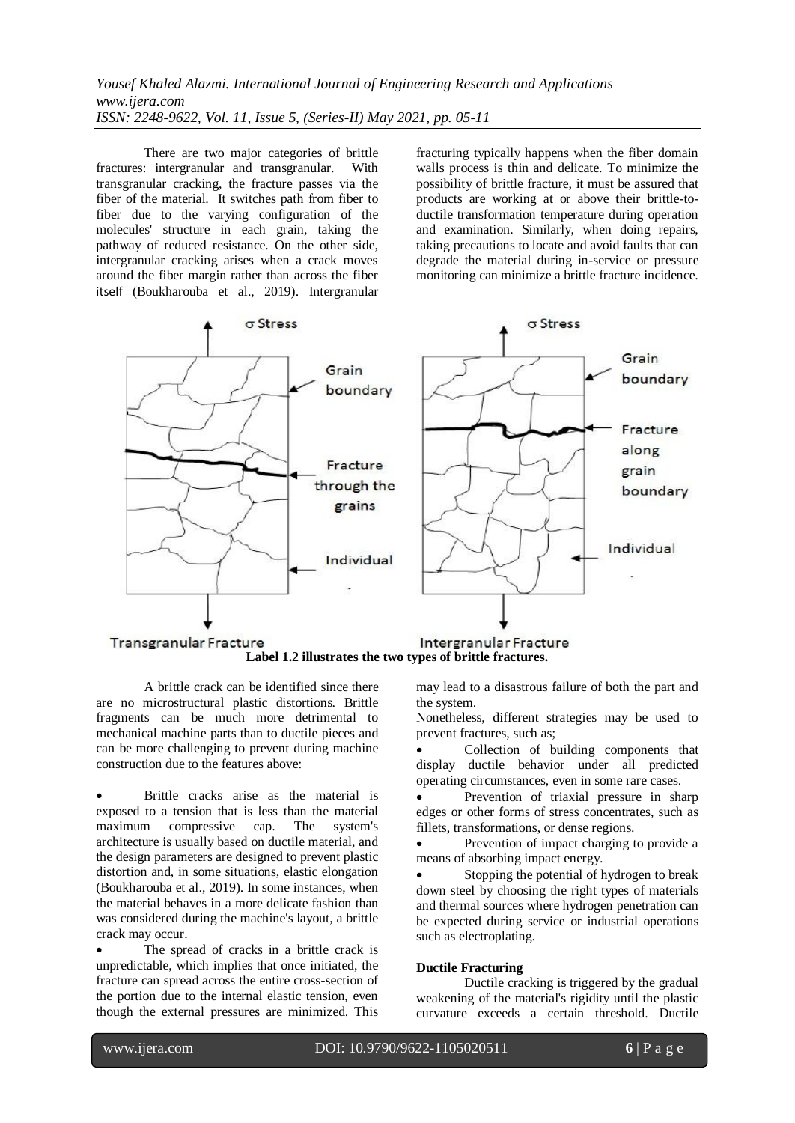There are two major categories of brittle fractures: intergranular and transgranular. With transgranular cracking, the fracture passes via the fiber of the material. It switches path from fiber to fiber due to the varying configuration of the molecules' structure in each grain, taking the pathway of reduced resistance. On the other side, intergranular cracking arises when a crack moves around the fiber margin rather than across the fiber itself (Boukharouba et al., 2019). Intergranular

fracturing typically happens when the fiber domain walls process is thin and delicate. To minimize the possibility of brittle fracture, it must be assured that products are working at or above their brittle-toductile transformation temperature during operation and examination. Similarly, when doing repairs, taking precautions to locate and avoid faults that can degrade the material during in-service or pressure monitoring can minimize a brittle fracture incidence.



**Label 1.2 illustrates the two types of brittle fractures.**

A brittle crack can be identified since there are no microstructural plastic distortions. Brittle fragments can be much more detrimental to mechanical machine parts than to ductile pieces and can be more challenging to prevent during machine construction due to the features above:

 Brittle cracks arise as the material is exposed to a tension that is less than the material maximum compressive cap. The system's architecture is usually based on ductile material, and the design parameters are designed to prevent plastic distortion and, in some situations, elastic elongation (Boukharouba et al., 2019). In some instances, when the material behaves in a more delicate fashion than was considered during the machine's layout, a brittle crack may occur.

 The spread of cracks in a brittle crack is unpredictable, which implies that once initiated, the fracture can spread across the entire cross-section of the portion due to the internal elastic tension, even though the external pressures are minimized. This may lead to a disastrous failure of both the part and the system.

Nonetheless, different strategies may be used to prevent fractures, such as;

 Collection of building components that display ductile behavior under all predicted operating circumstances, even in some rare cases.

 Prevention of triaxial pressure in sharp edges or other forms of stress concentrates, such as fillets, transformations, or dense regions.

 Prevention of impact charging to provide a means of absorbing impact energy.

 Stopping the potential of hydrogen to break down steel by choosing the right types of materials and thermal sources where hydrogen penetration can be expected during service or industrial operations such as electroplating.

#### **Ductile Fracturing**

Ductile cracking is triggered by the gradual weakening of the material's rigidity until the plastic curvature exceeds a certain threshold. Ductile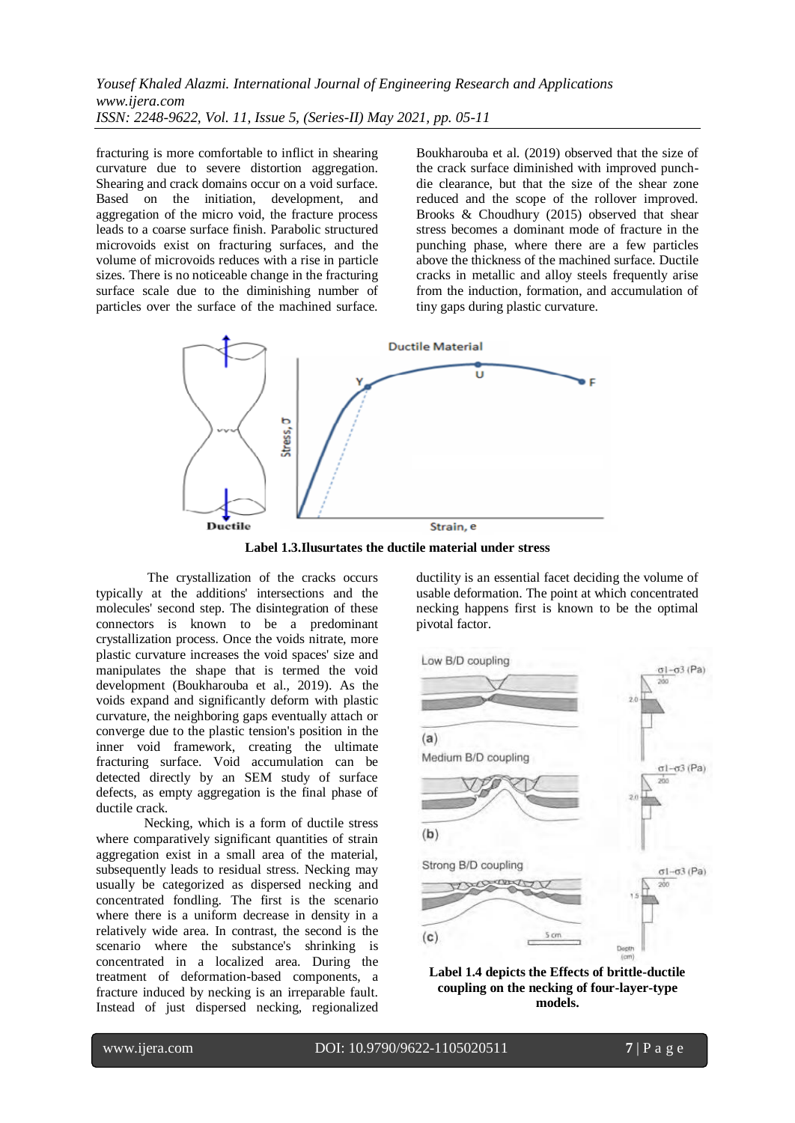fracturing is more comfortable to inflict in shearing curvature due to severe distortion aggregation. Shearing and crack domains occur on a void surface. Based on the initiation, development, and aggregation of the micro void, the fracture process leads to a coarse surface finish. Parabolic structured microvoids exist on fracturing surfaces, and the volume of microvoids reduces with a rise in particle sizes. There is no noticeable change in the fracturing surface scale due to the diminishing number of particles over the surface of the machined surface. Boukharouba et al. (2019) observed that the size of the crack surface diminished with improved punchdie clearance, but that the size of the shear zone reduced and the scope of the rollover improved. Brooks & Choudhury (2015) observed that shear stress becomes a dominant mode of fracture in the punching phase, where there are a few particles above the thickness of the machined surface. Ductile cracks in metallic and alloy steels frequently arise from the induction, formation, and accumulation of tiny gaps during plastic curvature.



**Label 1.3.Ilusurtates the ductile material under stress**

The crystallization of the cracks occurs typically at the additions' intersections and the molecules' second step. The disintegration of these connectors is known to be a predominant crystallization process. Once the voids nitrate, more plastic curvature increases the void spaces' size and manipulates the shape that is termed the void development (Boukharouba et al., 2019). As the voids expand and significantly deform with plastic curvature, the neighboring gaps eventually attach or converge due to the plastic tension's position in the inner void framework, creating the ultimate fracturing surface. Void accumulation can be detected directly by an SEM study of surface defects, as empty aggregation is the final phase of ductile crack.

Necking, which is a form of ductile stress where comparatively significant quantities of strain aggregation exist in a small area of the material, subsequently leads to residual stress. Necking may usually be categorized as dispersed necking and concentrated fondling. The first is the scenario where there is a uniform decrease in density in a relatively wide area. In contrast, the second is the scenario where the substance's shrinking is concentrated in a localized area. During the treatment of deformation-based components, a fracture induced by necking is an irreparable fault. Instead of just dispersed necking, regionalized ductility is an essential facet deciding the volume of usable deformation. The point at which concentrated necking happens first is known to be the optimal pivotal factor.



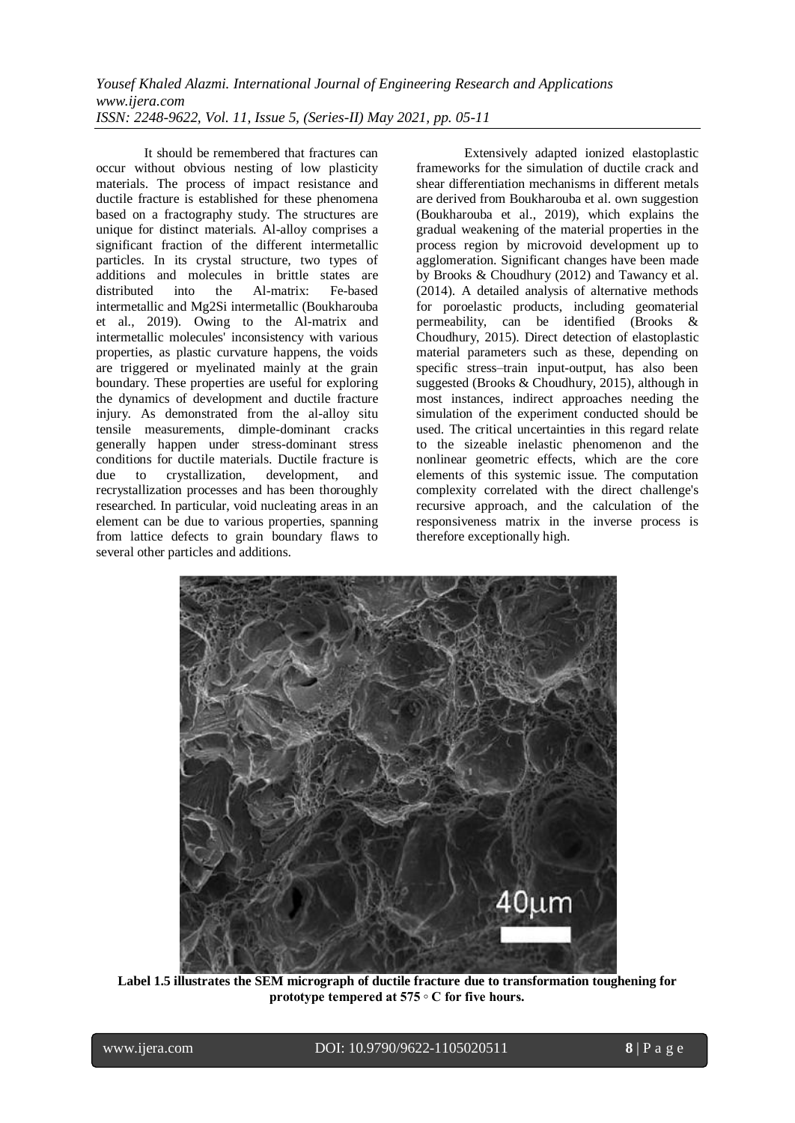It should be remembered that fractures can occur without obvious nesting of low plasticity materials. The process of impact resistance and ductile fracture is established for these phenomena based on a fractography study. The structures are unique for distinct materials. Al-alloy comprises a significant fraction of the different intermetallic particles. In its crystal structure, two types of additions and molecules in brittle states are distributed into the Al-matrix: Fe-based intermetallic and Mg2Si intermetallic (Boukharouba et al., 2019). Owing to the Al-matrix and intermetallic molecules' inconsistency with various properties, as plastic curvature happens, the voids are triggered or myelinated mainly at the grain boundary. These properties are useful for exploring the dynamics of development and ductile fracture injury. As demonstrated from the al-alloy situ tensile measurements, dimple-dominant cracks generally happen under stress-dominant stress conditions for ductile materials. Ductile fracture is due to crystallization, development, and due to crystallization, development, and recrystallization processes and has been thoroughly researched. In particular, void nucleating areas in an element can be due to various properties, spanning from lattice defects to grain boundary flaws to several other particles and additions.

Extensively adapted ionized elastoplastic frameworks for the simulation of ductile crack and shear differentiation mechanisms in different metals are derived from Boukharouba et al. own suggestion (Boukharouba et al., 2019), which explains the gradual weakening of the material properties in the process region by microvoid development up to agglomeration. Significant changes have been made by Brooks & Choudhury (2012) and Tawancy et al. (2014). A detailed analysis of alternative methods for poroelastic products, including geomaterial permeability, can be identified (Brooks & Choudhury, 2015). Direct detection of elastoplastic material parameters such as these, depending on specific stress–train input-output, has also been suggested (Brooks & Choudhury, 2015), although in most instances, indirect approaches needing the simulation of the experiment conducted should be used. The critical uncertainties in this regard relate to the sizeable inelastic phenomenon and the nonlinear geometric effects, which are the core elements of this systemic issue. The computation complexity correlated with the direct challenge's recursive approach, and the calculation of the responsiveness matrix in the inverse process is therefore exceptionally high.



**Label 1.5 illustrates the SEM micrograph of ductile fracture due to transformation toughening for prototype tempered at 575 ◦ C for five hours.**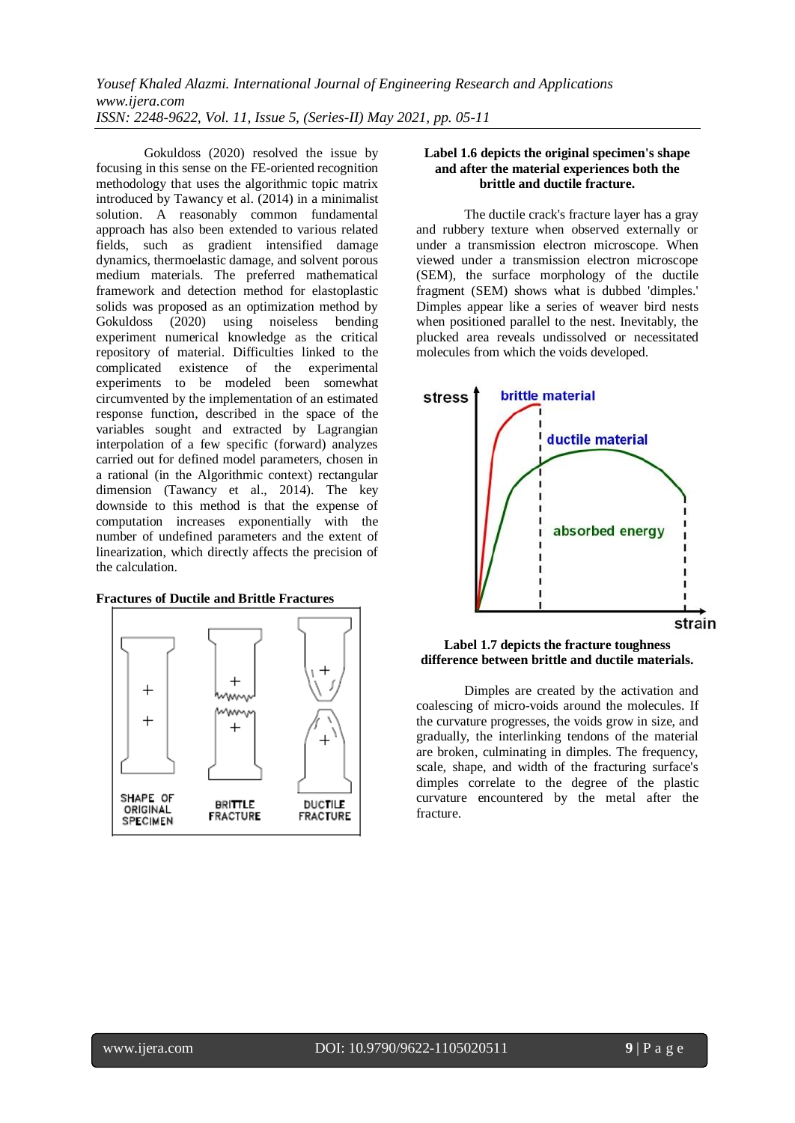Gokuldoss (2020) resolved the issue by focusing in this sense on the FE-oriented recognition methodology that uses the algorithmic topic matrix introduced by Tawancy et al. (2014) in a minimalist solution. A reasonably common fundamental approach has also been extended to various related fields, such as gradient intensified damage dynamics, thermoelastic damage, and solvent porous medium materials. The preferred mathematical framework and detection method for elastoplastic solids was proposed as an optimization method by Gokuldoss (2020) using noiseless bending experiment numerical knowledge as the critical repository of material. Difficulties linked to the complicated existence of the experimental experiments to be modeled been somewhat circumvented by the implementation of an estimated response function, described in the space of the variables sought and extracted by Lagrangian interpolation of a few specific (forward) analyzes carried out for defined model parameters, chosen in a rational (in the Algorithmic context) rectangular dimension (Tawancy et al., 2014). The key downside to this method is that the expense of computation increases exponentially with the number of undefined parameters and the extent of linearization, which directly affects the precision of the calculation.





#### **Label 1.6 depicts the original specimen's shape and after the material experiences both the brittle and ductile fracture.**

The ductile crack's fracture layer has a gray and rubbery texture when observed externally or under a transmission electron microscope. When viewed under a transmission electron microscope (SEM), the surface morphology of the ductile fragment (SEM) shows what is dubbed 'dimples.' Dimples appear like a series of weaver bird nests when positioned parallel to the nest. Inevitably, the plucked area reveals undissolved or necessitated molecules from which the voids developed.



#### **Label 1.7 depicts the fracture toughness difference between brittle and ductile materials.**

Dimples are created by the activation and coalescing of micro-voids around the molecules. If the curvature progresses, the voids grow in size, and gradually, the interlinking tendons of the material are broken, culminating in dimples. The frequency, scale, shape, and width of the fracturing surface's dimples correlate to the degree of the plastic curvature encountered by the metal after the fracture.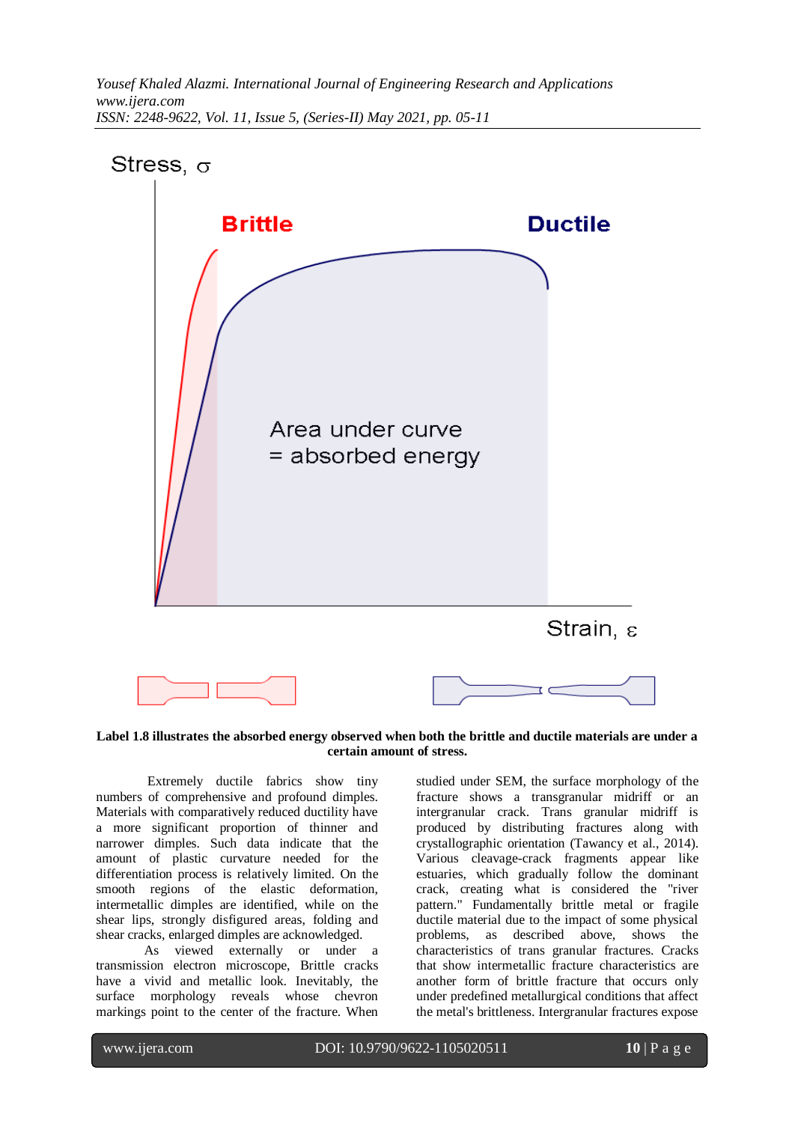

**Label 1.8 illustrates the absorbed energy observed when both the brittle and ductile materials are under a certain amount of stress.**

Extremely ductile fabrics show tiny numbers of comprehensive and profound dimples. Materials with comparatively reduced ductility have a more significant proportion of thinner and narrower dimples. Such data indicate that the amount of plastic curvature needed for the differentiation process is relatively limited. On the smooth regions of the elastic deformation, intermetallic dimples are identified, while on the shear lips, strongly disfigured areas, folding and shear cracks, enlarged dimples are acknowledged.

As viewed externally or under a transmission electron microscope, Brittle cracks have a vivid and metallic look. Inevitably, the surface morphology reveals whose chevron markings point to the center of the fracture. When

studied under SEM, the surface morphology of the fracture shows a transgranular midriff or an intergranular crack. Trans granular midriff is produced by distributing fractures along with crystallographic orientation (Tawancy et al., 2014). Various cleavage-crack fragments appear like estuaries, which gradually follow the dominant crack, creating what is considered the "river pattern." Fundamentally brittle metal or fragile ductile material due to the impact of some physical problems, as described above, shows the characteristics of trans granular fractures. Cracks that show intermetallic fracture characteristics are another form of brittle fracture that occurs only under predefined metallurgical conditions that affect the metal's brittleness. Intergranular fractures expose